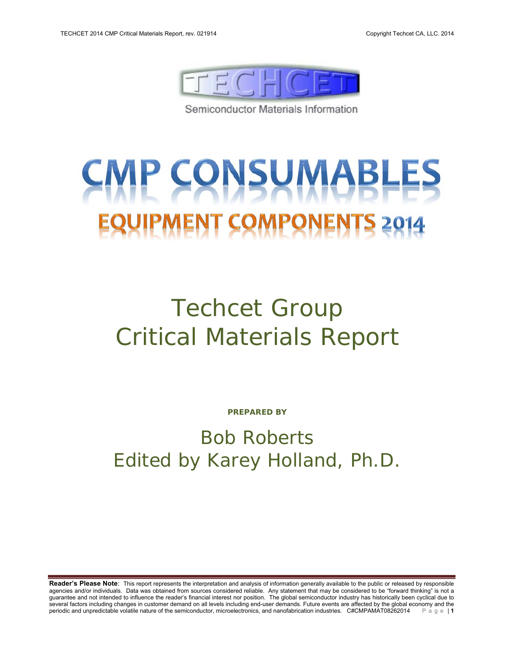

Semiconductor Materials Information

# **MP CONSUMABL MENT COMPONEN**

## Techcet Group Critical Materials Report

**PREPARED BY** 

## Bob Roberts Edited by Karey Holland, Ph.D.

**Reader's Please Note**: This report represents the interpretation and analysis of information generally available to the public or released by responsible agencies and/or individuals. Data was obtained from sources considered reliable. Any statement that may be considered to be "forward thinking" is not a guarantee and not intended to influence the reader's financial interest nor position. The global semiconductor industry has historically been cyclical due to several factors including changes in customer demand on all levels including end-user demands. Future events are affected by the global economy and the periodic and unpredictable volatile nature of the semiconductor, micro periodic and unpredictable volatile nature of the semiconductor, microelectronics, and nanofabrication industries. C#CMPAMAT08262014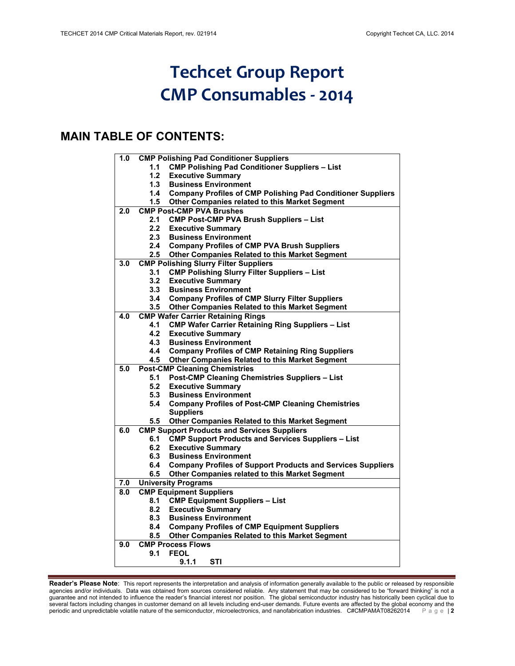## **Techcet Group Report CMP Consumables ‐ 2014**

### **MAIN TABLE OF CONTENTS:**

| 1.0 |               | <b>CMP Polishing Pad Conditioner Suppliers</b>                                                    |
|-----|---------------|---------------------------------------------------------------------------------------------------|
|     | 1.1           | <b>CMP Polishing Pad Conditioner Suppliers - List</b>                                             |
|     | 1.2           | <b>Executive Summary</b>                                                                          |
|     | 1.3           | <b>Business Environment</b>                                                                       |
|     | 1.4           | <b>Company Profiles of CMP Polishing Pad Conditioner Suppliers</b>                                |
|     | 1.5           | Other Companies related to this Market Segment                                                    |
| 2.0 |               | <b>CMP Post-CMP PVA Brushes</b>                                                                   |
|     | 2.1           | <b>CMP Post-CMP PVA Brush Suppliers - List</b>                                                    |
|     | 2.2           | <b>Executive Summary</b>                                                                          |
|     | 2.3           | <b>Business Environment</b>                                                                       |
|     | 2.4           | <b>Company Profiles of CMP PVA Brush Suppliers</b>                                                |
|     | $2.5\,$       | <b>Other Companies Related to this Market Segment</b>                                             |
| 3.0 |               | <b>CMP Polishing Slurry Filter Suppliers</b>                                                      |
|     | 3.1           | <b>CMP Polishing Slurry Filter Suppliers - List</b>                                               |
|     | 3.2           | <b>Executive Summary</b>                                                                          |
|     | 3.3           | <b>Business Environment</b>                                                                       |
|     | 3.4           | <b>Company Profiles of CMP Slurry Filter Suppliers</b>                                            |
|     | $3.5\,$       | <b>Other Companies Related to this Market Segment</b>                                             |
| 4.0 |               | <b>CMP Wafer Carrier Retaining Rings</b>                                                          |
|     | 4.1           | <b>CMP Wafer Carrier Retaining Ring Suppliers - List</b>                                          |
|     | 4.2           | <b>Executive Summary</b>                                                                          |
|     | 4.3           | <b>Business Environment</b>                                                                       |
|     | 4.4           | <b>Company Profiles of CMP Retaining Ring Suppliers</b>                                           |
|     | 4.5           | <b>Other Companies Related to this Market Segment</b>                                             |
| 5.0 |               | <b>Post-CMP Cleaning Chemistries</b>                                                              |
|     | 5.1           | Post-CMP Cleaning Chemistries Suppliers - List                                                    |
|     | 5.2           | <b>Executive Summary</b>                                                                          |
|     | 5.3           | <b>Business Environment</b>                                                                       |
|     | 5.4           | <b>Company Profiles of Post-CMP Cleaning Chemistries</b>                                          |
|     |               | <b>Suppliers</b>                                                                                  |
|     | $5.5^{\circ}$ | <b>Other Companies Related to this Market Segment</b>                                             |
| 6.0 |               | <b>CMP Support Products and Services Suppliers</b>                                                |
|     | 6.1           | <b>CMP Support Products and Services Suppliers - List</b>                                         |
|     | 6.2           | <b>Executive Summary</b>                                                                          |
|     | 6.3<br>6.4    | <b>Business Environment</b><br><b>Company Profiles of Support Products and Services Suppliers</b> |
|     |               |                                                                                                   |
| 7.0 | 6.5           | Other Companies related to this Market Segment<br><b>University Programs</b>                      |
| 8.0 |               | <b>CMP Equipment Suppliers</b>                                                                    |
|     | 8.1           | <b>CMP Equipment Suppliers - List</b>                                                             |
|     | 8.2           | <b>Executive Summary</b>                                                                          |
|     | 8.3           | <b>Business Environment</b>                                                                       |
|     | 8.4           | <b>Company Profiles of CMP Equipment Suppliers</b>                                                |
|     | 8.5           | <b>Other Companies Related to this Market Segment</b>                                             |
| 9.0 |               | <b>CMP Process Flows</b>                                                                          |
|     | 9.1           | <b>FEOL</b>                                                                                       |
|     |               | 9.1.1<br>STI                                                                                      |
|     |               |                                                                                                   |

**Reader's Please Note**: This report represents the interpretation and analysis of information generally available to the public or released by responsible agencies and/or individuals. Data was obtained from sources considered reliable. Any statement that may be considered to be "forward thinking" is not a guarantee and not intended to influence the reader's financial interest nor position. The global semiconductor industry has historically been cyclical due to several factors including changes in customer demand on all levels including end-user demands. Future events are affected by the global economy and the periodic and unpredictable volatile nature of the semiconductor, microelectronics, and nanofabrication industries. C#CMPAMAT08262014 Page | **2**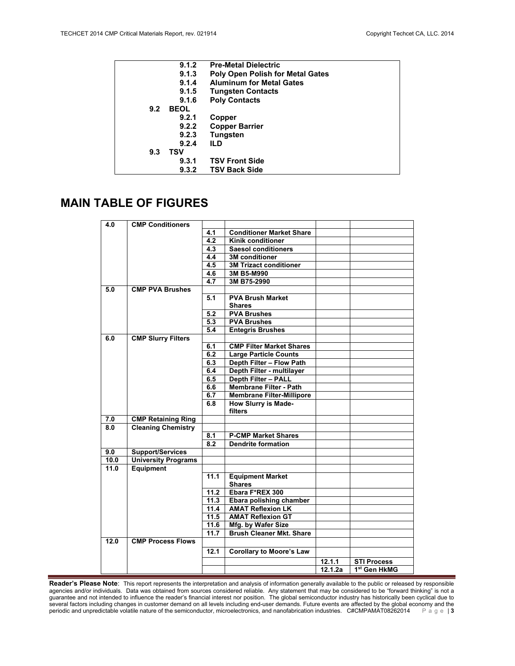|     | 9.1.2       | <b>Pre-Metal Dielectric</b>             |
|-----|-------------|-----------------------------------------|
|     | 9.1.3       | <b>Poly Open Polish for Metal Gates</b> |
|     | 9.1.4       | <b>Aluminum for Metal Gates</b>         |
|     | 9.1.5       | <b>Tungsten Contacts</b>                |
|     | 9.1.6       | <b>Poly Contacts</b>                    |
| 9.2 | <b>BEOL</b> |                                         |
|     | 9.2.1       | Copper                                  |
|     | 9.2.2       | <b>Copper Barrier</b>                   |
|     | 9.2.3       | Tungsten                                |
|     | 9.2.4       | ILD                                     |
| 9.3 | TSV         |                                         |
|     | 9.3.1       | <b>TSV Front Side</b>                   |
|     | 9.3.2       | <b>TSV Back Side</b>                    |

#### **MAIN TABLE OF FIGURES**

| 4.0              | <b>CMP Conditioners</b>    |                  |                                  |         |                          |
|------------------|----------------------------|------------------|----------------------------------|---------|--------------------------|
|                  |                            | 4.1              | <b>Conditioner Market Share</b>  |         |                          |
|                  |                            | $\overline{4.2}$ | <b>Kinik conditioner</b>         |         |                          |
|                  |                            | 4.3              | <b>Saesol conditioners</b>       |         |                          |
|                  |                            | 4.4              | <b>3M</b> conditioner            |         |                          |
|                  |                            | 4.5              | <b>3M Trizact conditioner</b>    |         |                          |
|                  |                            | 4.6              | 3M B5-M990                       |         |                          |
|                  |                            | $\overline{4.7}$ | 3M B75-2990                      |         |                          |
| 5.0              | <b>CMP PVA Brushes</b>     |                  |                                  |         |                          |
|                  |                            | 5.1              | <b>PVA Brush Market</b>          |         |                          |
|                  |                            |                  | <b>Shares</b>                    |         |                          |
|                  |                            | 5.2              | <b>PVA Brushes</b>               |         |                          |
|                  |                            | 5.3              | <b>PVA Brushes</b>               |         |                          |
|                  |                            | 5.4              | <b>Entegris Brushes</b>          |         |                          |
| 6.0              | <b>CMP Slurry Filters</b>  |                  |                                  |         |                          |
|                  |                            | 6.1              | <b>CMP Filter Market Shares</b>  |         |                          |
|                  |                            | 6.2              | <b>Large Particle Counts</b>     |         |                          |
|                  |                            | 6.3              | Depth Filter - Flow Path         |         |                          |
|                  |                            | 6.4              | Depth Filter - multilayer        |         |                          |
|                  |                            | 6.5              | Depth Filter - PALL              |         |                          |
|                  |                            | 6.6              | <b>Membrane Filter - Path</b>    |         |                          |
|                  |                            | 6.7              | <b>Membrane Filter-Millipore</b> |         |                          |
|                  |                            | 6.8              | How Slurry is Made-              |         |                          |
|                  |                            |                  | filters                          |         |                          |
| 7.0              | <b>CMP Retaining Ring</b>  |                  |                                  |         |                          |
| $\overline{8.0}$ | <b>Cleaning Chemistry</b>  |                  |                                  |         |                          |
|                  |                            | 8.1              | <b>P-CMP Market Shares</b>       |         |                          |
|                  |                            | 8.2              | <b>Dendrite formation</b>        |         |                          |
| 9.0              | <b>Support/Services</b>    |                  |                                  |         |                          |
| 10.0             | <b>University Programs</b> |                  |                                  |         |                          |
| 11.0             | Equipment                  |                  |                                  |         |                          |
|                  |                            | 11.1             | <b>Equipment Market</b>          |         |                          |
|                  |                            |                  | <b>Shares</b>                    |         |                          |
|                  |                            | 11.2             | Ebara F*REX 300                  |         |                          |
|                  |                            | 11.3             | Ebara polishing chamber          |         |                          |
|                  |                            | 11.4             | <b>AMAT Reflexion LK</b>         |         |                          |
|                  |                            | 11.5             | <b>AMAT Reflexion GT</b>         |         |                          |
|                  |                            | 11.6             | Mfg. by Wafer Size               |         |                          |
|                  |                            | 11.7             | <b>Brush Cleaner Mkt. Share</b>  |         |                          |
| 12.0             | <b>CMP Process Flows</b>   |                  |                                  |         |                          |
|                  |                            | 12.1             | <b>Corollary to Moore's Law</b>  |         |                          |
|                  |                            |                  |                                  | 12.1.1  | <b>STI Process</b>       |
|                  |                            |                  |                                  | 12.1.2a | 1 <sup>st</sup> Gen HkMG |
|                  |                            |                  |                                  |         |                          |

**Reader's Please Note**: This report represents the interpretation and analysis of information generally available to the public or released by responsible agencies and/or individuals. Data was obtained from sources considered reliable. Any statement that may be considered to be "forward thinking" is not a guarantee and not intended to influence the reader's financial interest nor position. The global semiconductor industry has historically been cyclical due to several factors including changes in customer demand on all levels including end-user demands. Future events are affected by the global economy and the periodic and unpredictable volatile nature of the semiconductor, microelectronics, and nanofabrication industries. C#CMPAMAT08262014 Page | **3**